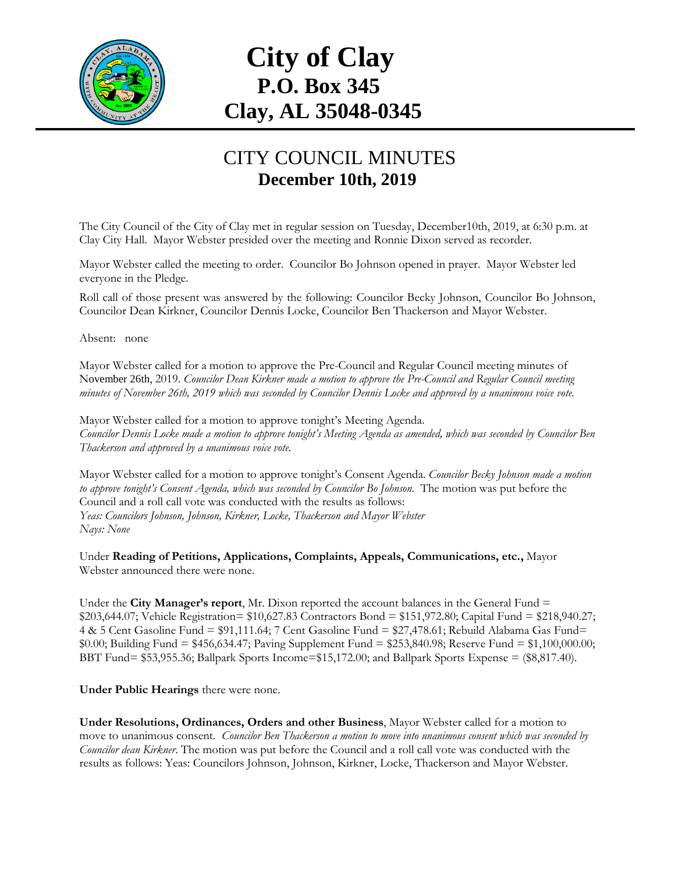

## **City of Clay P.O. Box 345 Clay, AL 35048-0345**

## CITY COUNCIL MINUTES **December 10th, 2019**

The City Council of the City of Clay met in regular session on Tuesday, December10th, 2019, at 6:30 p.m. at Clay City Hall. Mayor Webster presided over the meeting and Ronnie Dixon served as recorder.

Mayor Webster called the meeting to order. Councilor Bo Johnson opened in prayer. Mayor Webster led everyone in the Pledge.

Roll call of those present was answered by the following: Councilor Becky Johnson, Councilor Bo Johnson, Councilor Dean Kirkner, Councilor Dennis Locke, Councilor Ben Thackerson and Mayor Webster.

Absent: none

Mayor Webster called for a motion to approve the Pre-Council and Regular Council meeting minutes of November 26th, 2019. *Councilor Dean Kirkner made a motion to approve the Pre-Council and Regular Council meeting minutes of November 26th, 2019 which was seconded by Councilor Dennis Locke and approved by a unanimous voice vote.*

Mayor Webster called for a motion to approve tonight's Meeting Agenda. *Councilor Dennis Locke made a motion to approve tonight's Meeting Agenda as amended, which was seconded by Councilor Ben Thackerson and approved by a unanimous voice vote.*

Mayor Webster called for a motion to approve tonight's Consent Agenda. *Councilor Becky Johnson made a motion to approve tonight's Consent Agenda, which was seconded by Councilor Bo Johnson.* The motion was put before the Council and a roll call vote was conducted with the results as follows: *Yeas: Councilors Johnson, Johnson, Kirkner, Locke, Thackerson and Mayor Webster Nays: None*

Under **Reading of Petitions, Applications, Complaints, Appeals, Communications, etc.,** Mayor Webster announced there were none.

Under the **City Manager's report**, Mr. Dixon reported the account balances in the General Fund = \$203,644.07; Vehicle Registration= \$10,627.83 Contractors Bond = \$151,972.80; Capital Fund = \$218,940.27; 4 & 5 Cent Gasoline Fund = \$91,111.64; 7 Cent Gasoline Fund = \$27,478.61; Rebuild Alabama Gas Fund= \$0.00; Building Fund = \$456,634.47; Paving Supplement Fund = \$253,840.98; Reserve Fund = \$1,100,000.00; BBT Fund= \$53,955.36; Ballpark Sports Income=\$15,172.00; and Ballpark Sports Expense = (\$8,817.40).

**Under Public Hearings** there were none.

**Under Resolutions, Ordinances, Orders and other Business**, Mayor Webster called for a motion to move to unanimous consent. *Councilor Ben Thackerson a motion to move into unanimous consent which was seconded by Councilor dean Kirkner*. The motion was put before the Council and a roll call vote was conducted with the results as follows: Yeas: Councilors Johnson, Johnson, Kirkner, Locke, Thackerson and Mayor Webster.